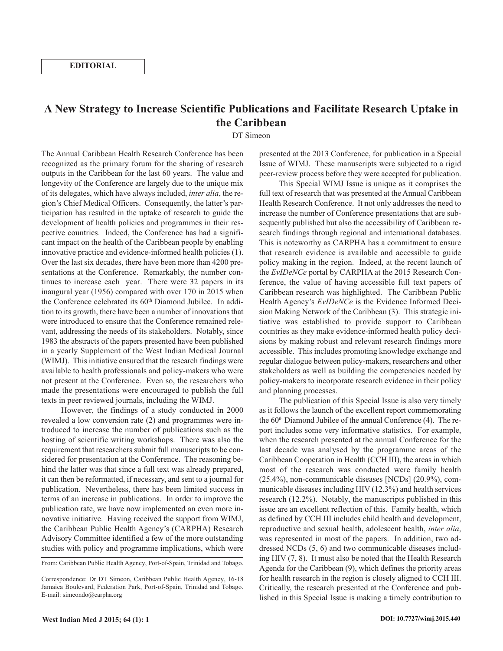**EDITORIAL**

## **A New Strategy to Increase Scientific Publications and Facilitate Research Uptake in the Caribbean**

DT Simeon

The Annual Caribbean Health Research Conference has been recognized as the primary forum for the sharing of research outputs in the Caribbean for the last 60 years. The value and longevity of the Conference are largely due to the unique mix of its delegates, which have always included, *inter alia*, the region's Chief Medical Officers. Consequently, the latter's participation has resulted in the uptake of research to guide the development of health policies and programmes in their respective countries. Indeed, the Conference has had a significant impact on the health of the Caribbean people by enabling innovative practice and evidence-informed health policies (1). Over the last six decades, there have been more than 4200 presentations at the Conference. Remarkably, the number continues to increase each year. There were 32 papers in its inaugural year (1956) compared with over 170 in 2015 when the Conference celebrated its 60<sup>th</sup> Diamond Jubilee. In addition to its growth, there have been a number of innovations that were introduced to ensure that the Conference remained relevant, addressing the needs of its stakeholders. Notably, since 1983 the abstracts of the papers presented have been published in a yearly Supplement of the West Indian Medical Journal (WIMJ). This initiative ensured that the research findings were available to health professionals and policy-makers who were not present at the Conference. Even so, the researchers who made the presentations were encouraged to publish the full texts in peer reviewed journals, including the WIMJ.

However, the findings of a study conducted in 2000 revealed a low conversion rate (2) and programmes were introduced to increase the number of publications such as the hosting of scientific writing workshops. There was also the requirement that researchers submit full manuscripts to be considered for presentation at the Conference. The reasoning behind the latter was that since a full text was already prepared, it can then be reformatted, if necessary, and sent to a journal for publication. Nevertheless, there has been limited success in terms of an increase in publications. In order to improve the publication rate, we have now implemented an even more innovative initiative. Having received the support from WIMJ, the Caribbean Public Health Agency's (CARPHA) Research Advisory Committee identified a few of the more outstanding studies with policy and programme implications, which were

From: Caribbean Public Health Agency, Port-of-Spain, Trinidad and Tobago.

presented at the 2013 Conference, for publication in a Special Issue of WIMJ. These manuscripts were subjected to a rigid peer-review process before they were accepted for publication.

This Special WIMJ Issue is unique as it comprises the full text of research that was presented at the Annual Caribbean Health Research Conference. It not only addresses the need to increase the number of Conference presentations that are subsequently published but also the accessibility of Caribbean research findings through regional and international databases. This is noteworthy as CARPHA has a commitment to ensure that research evidence is available and accessible to guide policy making in the region. Indeed, at the recent launch of the *EvIDeNCe* portal by CARPHA at the 2015 Research Conference, the value of having accessible full text papers of Caribbean research was highlighted. The Caribbean Public Health Agency's *EvIDeNCe* is the Evidence Informed Decision Making Network of the Caribbean (3). This strategic initiative was established to provide support to Caribbean countries as they make evidence-informed health policy decisions by making robust and relevant research findings more accessible. This includes promoting knowledge exchange and regular dialogue between policy-makers, researchers and other stakeholders as well as building the competencies needed by policy-makers to incorporate research evidence in their policy and planning processes.

The publication of this Special Issue is also very timely as it follows the launch of the excellent report commemorating the  $60<sup>th</sup>$  Diamond Jubilee of the annual Conference (4). The report includes some very informative statistics. For example, when the research presented at the annual Conference for the last decade was analysed by the programme areas of the Caribbean Cooperation in Health (CCH III), the areas in which most of the research was conducted were family health (25.4%), non-communicable diseases [NCDs] (20.9%), communicable diseases including HIV (12.3%) and health services research (12.2%). Notably, the manuscripts published in this issue are an excellent reflection of this. Family health, which as defined by CCH III includes child health and development, reproductive and sexual health, adolescent health, *inter alia*, was represented in most of the papers. In addition, two addressed NCDs (5, 6) and two communicable diseases including HIV (7, 8). It must also be noted that the Health Research Agenda for the Caribbean (9), which defines the priority areas for health research in the region is closely aligned to CCH III. Critically, the research presented at the Conference and published in this Special Issue is making a timely contribution to

Correspondence: Dr DT Simeon, Caribbean Public Health Agency, 16-18 Jamaica Boulevard, Federation Park, Port-of-Spain, Trinidad and Tobago. E-mail: simeondo@carpha.org